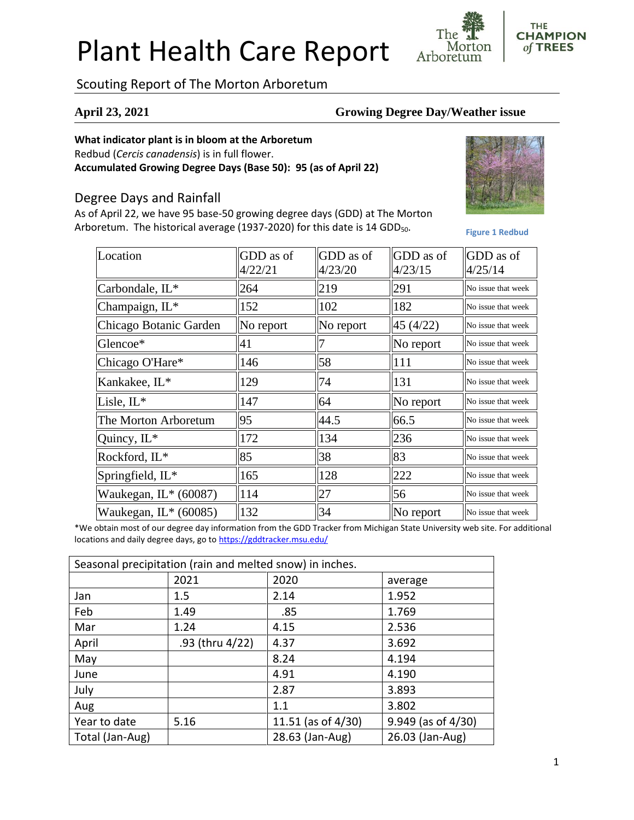# Plant Health Care Report

Morton Arboretum

## Scouting Report of The Morton Arboretum

#### **April 23, 2021 Growing Degree Day/Weather issue**

#### **What indicator plant is in bloom at the Arboretum**

Redbud (*Cercis canadensis*) is in full flower.

**Accumulated Growing Degree Days (Base 50): 95 (as of April 22)**

### Degree Days and Rainfall

As of April 22, we have 95 base-50 growing degree days (GDD) at The Morton Arboretum. The historical average (1937-2020) for this date is 14 GDD<sub>50</sub>.



**THE CHAMPION** of TREES

**Figure 1 Redbud**

| Location                | GDD as of<br>4/22/21 | GDD as of<br>4/23/20 | GDD as of<br>4/23/15 | GDD as of<br>4/25/14 |
|-------------------------|----------------------|----------------------|----------------------|----------------------|
| Carbondale, IL*         | 264                  | 219                  | 291                  | No issue that week   |
| Champaign, IL*          | 152                  | 102                  | 182                  | No issue that week   |
| Chicago Botanic Garden  | No report            | No report            | 45 (4/22)            | No issue that week   |
| Glencoe*                | 41                   | 7                    | No report            | No issue that week   |
| Chicago O'Hare*         | 146                  | 58                   | 111                  | No issue that week   |
| Kankakee, IL*           | 129                  | 74                   | 131                  | No issue that week   |
| Lisle, $IL^*$           | 147                  | 64                   | No report            | No issue that week   |
| The Morton Arboretum    | 95                   | 44.5                 | 66.5                 | No issue that week   |
| Quincy, $IL^*$          | 172                  | 134                  | 236                  | No issue that week   |
| Rockford, IL*           | 85                   | 38                   | 83                   | No issue that week   |
| Springfield, IL*        | 165                  | 128                  | 222                  | No issue that week   |
| Waukegan, $IL*(60087)$  | 114                  | 27                   | 56                   | No issue that week   |
| Waukegan, $IL^*(60085)$ | 132                  | 34                   | No report            | No issue that week   |

\*We obtain most of our degree day information from the GDD Tracker from Michigan State University web site. For additional locations and daily degree days, go to <https://gddtracker.msu.edu/>

| Seasonal precipitation (rain and melted snow) in inches. |                 |                       |                         |  |  |
|----------------------------------------------------------|-----------------|-----------------------|-------------------------|--|--|
|                                                          | 2021            | 2020                  | average                 |  |  |
| Jan                                                      | 1.5             | 2.14                  | 1.952                   |  |  |
| Feb                                                      | 1.49            | .85                   | 1.769                   |  |  |
| Mar                                                      | 1.24            | 4.15                  | 2.536                   |  |  |
| April                                                    | .93 (thru 4/22) | 4.37                  | 3.692                   |  |  |
| May                                                      |                 | 8.24                  | 4.194                   |  |  |
| June                                                     |                 | 4.91                  | 4.190                   |  |  |
| July                                                     |                 | 2.87                  | 3.893                   |  |  |
| Aug                                                      |                 | 1.1                   | 3.802                   |  |  |
| Year to date                                             | 5.16            | 11.51 (as of $4/30$ ) | $9.949$ (as of $4/30$ ) |  |  |
| Total (Jan-Aug)                                          |                 | 28.63 (Jan-Aug)       | 26.03 (Jan-Aug)         |  |  |